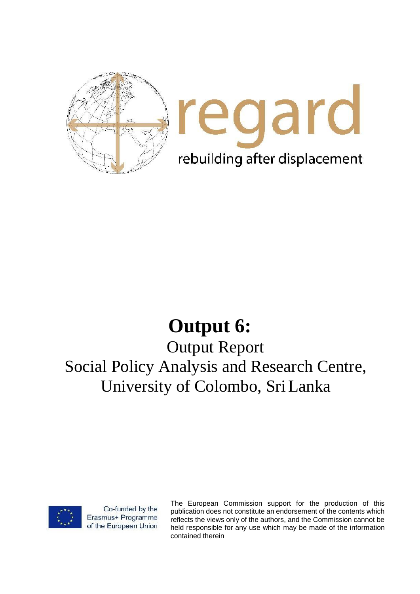



# **Output 6:**

Output Report Social Policy Analysis and Research Centre, University of Colombo, Sri Lanka



Co-funded by the **1.** Erasmus+ Programme<br>of the European Union The European Commission support for the production of this publication does not constitute an endorsement of the contents which reflects the views only of the authors, and the Commission cannot be held responsible for any use which may be made of the information contained therein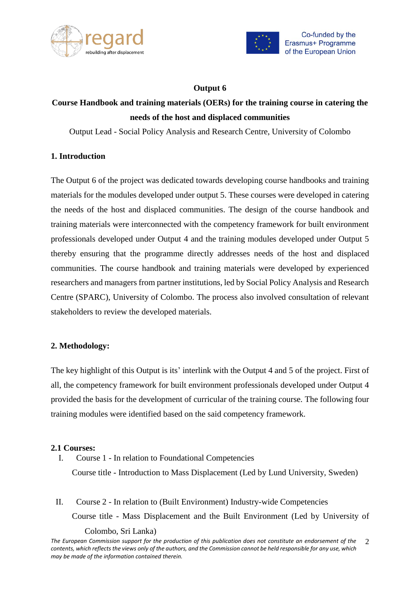



#### **Output 6**

# **Course Handbook and training materials (OERs) for the training course in catering the needs of the host and displaced communities**

Output Lead - Social Policy Analysis and Research Centre, University of Colombo

# **1. Introduction**

The Output 6 of the project was dedicated towards developing course handbooks and training materials for the modules developed under output 5. These courses were developed in catering the needs of the host and displaced communities. The design of the course handbook and training materials were interconnected with the competency framework for built environment professionals developed under Output 4 and the training modules developed under Output 5 thereby ensuring that the programme directly addresses needs of the host and displaced communities. The course handbook and training materials were developed by experienced researchers and managers from partner institutions, led by Social Policy Analysis and Research Centre (SPARC), University of Colombo. The process also involved consultation of relevant stakeholders to review the developed materials.

# **2. Methodology:**

The key highlight of this Output is its' interlink with the Output 4 and 5 of the project. First of all, the competency framework for built environment professionals developed under Output 4 provided the basis for the development of curricular of the training course. The following four training modules were identified based on the said competency framework.

#### **2.1 Courses:**

- I. Course 1 In relation to Foundational Competencies Course title - Introduction to Mass Displacement (Led by Lund University, Sweden)
- II. Course 2 In relation to (Built Environment) Industry-wide Competencies Course title - Mass Displacement and the Built Environment (Led by University of

Colombo, Sri Lanka)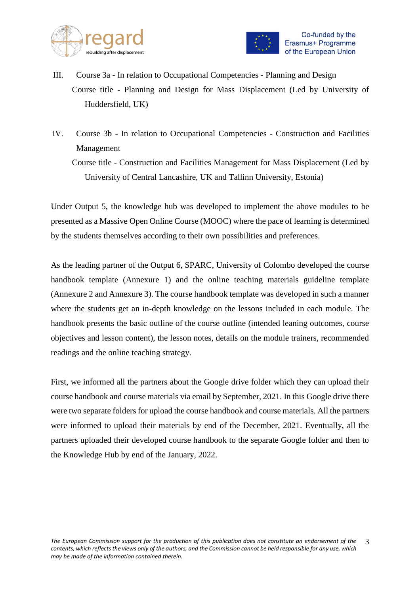



- III. Course 3a In relation to Occupational Competencies Planning and Design Course title - Planning and Design for Mass Displacement (Led by University of Huddersfield, UK)
- IV. Course 3b In relation to Occupational Competencies Construction and Facilities Management

Course title - Construction and Facilities Management for Mass Displacement (Led by University of Central Lancashire, UK and Tallinn University, Estonia)

Under Output 5, the knowledge hub was developed to implement the above modules to be presented as a Massive Open Online Course (MOOC) where the pace of learning is determined by the students themselves according to their own possibilities and preferences.

As the leading partner of the Output 6, SPARC, University of Colombo developed the course handbook template (Annexure 1) and the online teaching materials guideline template (Annexure 2 and Annexure 3). The course handbook template was developed in such a manner where the students get an in-depth knowledge on the lessons included in each module. The handbook presents the basic outline of the course outline (intended leaning outcomes, course objectives and lesson content), the lesson notes, details on the module trainers, recommended readings and the online teaching strategy.

First, we informed all the partners about the Google drive folder which they can upload their course handbook and course materials via email by September, 2021. In this Google drive there were two separate folders for upload the course handbook and course materials. All the partners were informed to upload their materials by end of the December, 2021. Eventually, all the partners uploaded their developed course handbook to the separate Google folder and then to the Knowledge Hub by end of the January, 2022.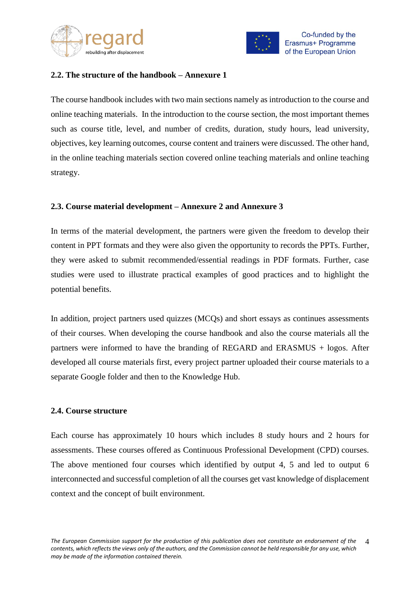



## **2.2. The structure of the handbook – Annexure 1**

The course handbook includes with two main sections namely as introduction to the course and online teaching materials. In the introduction to the course section, the most important themes such as course title, level, and number of credits, duration, study hours, lead university, objectives, key learning outcomes, course content and trainers were discussed. The other hand, in the online teaching materials section covered online teaching materials and online teaching strategy.

#### **2.3. Course material development – Annexure 2 and Annexure 3**

In terms of the material development, the partners were given the freedom to develop their content in PPT formats and they were also given the opportunity to records the PPTs. Further, they were asked to submit recommended/essential readings in PDF formats. Further, case studies were used to illustrate practical examples of good practices and to highlight the potential benefits.

In addition, project partners used quizzes (MCQs) and short essays as continues assessments of their courses. When developing the course handbook and also the course materials all the partners were informed to have the branding of REGARD and ERASMUS + logos. After developed all course materials first, every project partner uploaded their course materials to a separate Google folder and then to the Knowledge Hub.

#### **2.4. Course structure**

Each course has approximately 10 hours which includes 8 study hours and 2 hours for assessments. These courses offered as Continuous Professional Development (CPD) courses. The above mentioned four courses which identified by output 4, 5 and led to output 6 interconnected and successful completion of all the courses get vast knowledge of displacement context and the concept of built environment.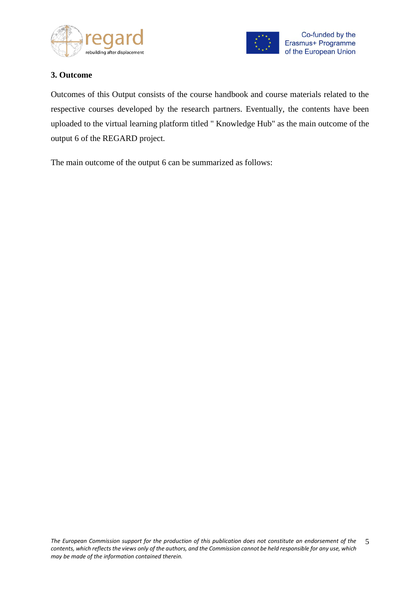



# **3. Outcome**

Outcomes of this Output consists of the course handbook and course materials related to the respective courses developed by the research partners. Eventually, the contents have been uploaded to the virtual learning platform titled " Knowledge Hub" as the main outcome of the output 6 of the REGARD project.

The main outcome of the output 6 can be summarized as follows: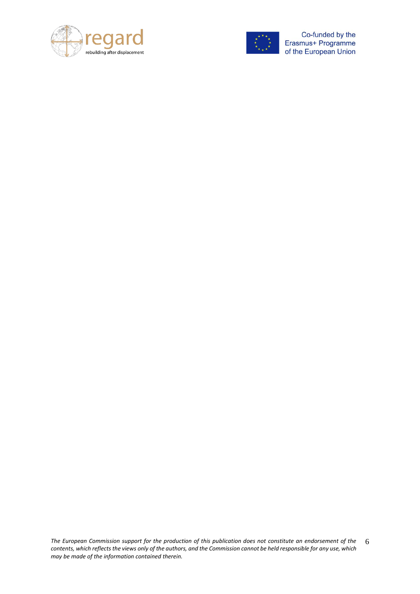



Co-funded by the<br>Erasmus+ Programme<br>of the European Union

*The European Commission support for the production of this publication does not constitute an endorsement of the contents, which reflects the views only of the authors, and the Commission cannot be held responsible for any use, which may be made of the information contained therein.* 6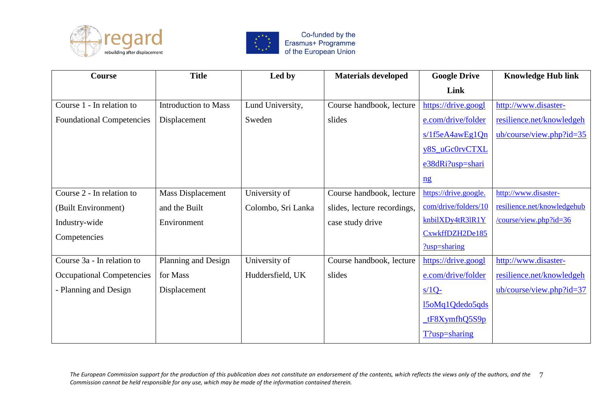



| <b>Course</b>                    | <b>Title</b>                | Led by             | <b>Materials developed</b>  | <b>Google Drive</b>   | <b>Knowledge Hub link</b>                |
|----------------------------------|-----------------------------|--------------------|-----------------------------|-----------------------|------------------------------------------|
|                                  |                             |                    |                             | Link                  |                                          |
| Course 1 - In relation to        | <b>Introduction to Mass</b> | Lund University,   | Course handbook, lecture    | https://drive.googl   | http://www.disaster-                     |
| <b>Foundational Competencies</b> | Displacement                | Sweden             | slides                      | e.com/drive/folder    | resilience.net/knowledgeh                |
|                                  |                             |                    |                             | s/1f5eA4awEg1Qn       | $ub/course/view.php?id=35$               |
|                                  |                             |                    |                             | y8S_uGc0rvCTXL        |                                          |
|                                  |                             |                    |                             | e38dRi?usp=shari      |                                          |
|                                  |                             |                    |                             | $\mathbf{ng}$         |                                          |
| Course 2 - In relation to        | <b>Mass Displacement</b>    | University of      | Course handbook, lecture    | https://drive.google. | http://www.disaster-                     |
| (Built Environment)              | and the Built               | Colombo, Sri Lanka | slides, lecture recordings, | com/drive/folders/10  | resilience.net/knowledgehub              |
| Industry-wide                    | Environment                 |                    | case study drive            | knbilXDy4tR3lR1Y      | $\frac{\text{/course/view.php?id=36}}{}$ |
| Competencies                     |                             |                    |                             | CxwkffDZH2De185       |                                          |
|                                  |                             |                    |                             | $?$ usp=sharing       |                                          |
| Course 3a - In relation to       | Planning and Design         | University of      | Course handbook, lecture    | https://drive.googl   | http://www.disaster-                     |
| <b>Occupational Competencies</b> | for Mass                    | Huddersfield, UK   | slides                      | e.com/drive/folder    | resilience.net/knowledgeh                |
| - Planning and Design            | Displacement                |                    |                             | $s/1Q$ -              | $ub/course/view.php$ ?id=37              |
|                                  |                             |                    |                             | 15oMq1Qdedo5qds       |                                          |
|                                  |                             |                    |                             | tF8XymfhQ5S9p         |                                          |
|                                  |                             |                    |                             | $T$ ?usp=sharing      |                                          |

*The European Commission support for the production of this publication does not constitute an endorsement of the contents, which reflects the views only of the authors, and the*  7 *Commission cannot be held responsible for any use, which may be made of the information contained therein.*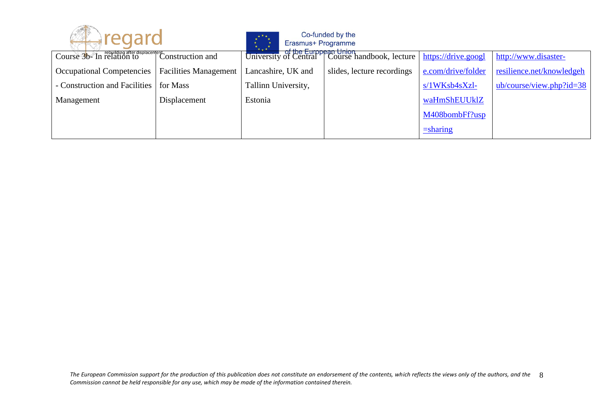| <b>A regard</b> |                                  |                              | $x^*$<br>Erasmus+ Programme | Co-funded by the                                                                     |                      |                            |
|-----------------|----------------------------------|------------------------------|-----------------------------|--------------------------------------------------------------------------------------|----------------------|----------------------------|
|                 | Course 3b- In relation to        | "Construction and            |                             | University of the European Union<br>University of Central   Course handbook, lecture | https://drive.googl  | http://www.disaster-       |
|                 | <b>Occupational Competencies</b> | <b>Facilities Management</b> | Lancashire, UK and          | slides, lecture recordings                                                           | e.com/drive/folder   | resilience.net/knowledgeh  |
|                 | - Construction and Facilities    | for Mass                     | Tallinn University,         |                                                                                      | $s/1$ WKsb $4sXz$ l- | $ub/course/view.php?id=38$ |
|                 | Management                       | Displacement                 | Estonia                     |                                                                                      | waHmShEUUklZ         |                            |
|                 |                                  |                              |                             |                                                                                      | M408bombFf?usp       |                            |
|                 |                                  |                              |                             |                                                                                      | $=$ sharing          |                            |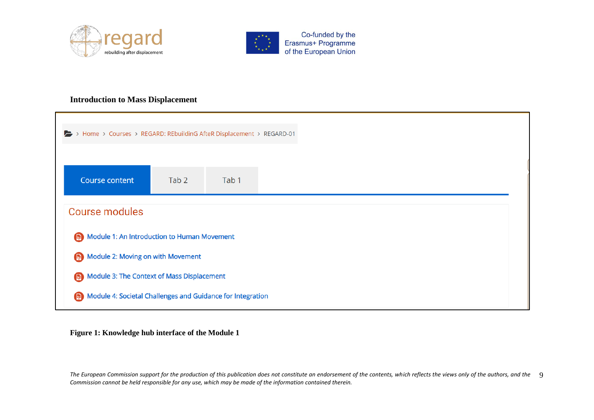



# **Introduction to Mass Displacement**

| > Home > Courses > REGARD: REbuildinG AfteR Displacement > REGARD-01 |                  |                  |  |  |  |  |
|----------------------------------------------------------------------|------------------|------------------|--|--|--|--|
| <b>Course content</b>                                                | Tab <sub>2</sub> | Tab <sub>1</sub> |  |  |  |  |
| <b>Course modules</b>                                                |                  |                  |  |  |  |  |
| Module 1: An Introduction to Human Movement                          |                  |                  |  |  |  |  |
| Module 2: Moving on with Movement<br>$\bigcirc$                      |                  |                  |  |  |  |  |
| Module 3: The Context of Mass Displacement                           |                  |                  |  |  |  |  |
| Module 4: Societal Challenges and Guidance for Integration           |                  |                  |  |  |  |  |

#### **Figure 1: Knowledge hub interface of the Module 1**

*The European Commission support for the production of this publication does not constitute an endorsement of the contents, which reflects the views only of the authors, and the*  9 *Commission cannot be held responsible for any use, which may be made of the information contained therein.*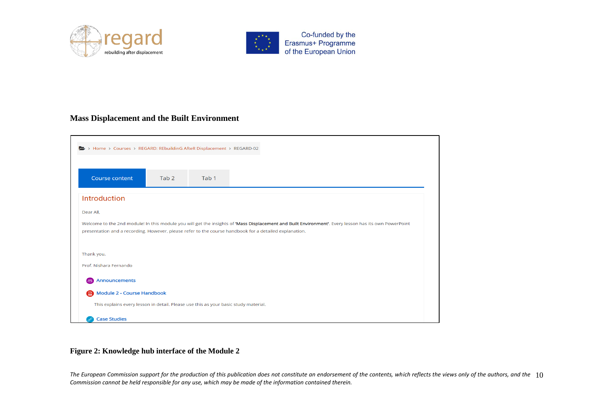



### **Mass Displacement and the Built Environment**

| > Home > Courses > REGARD: REbuildinG AfteR Displacement > REGARD-02                                                                                                                                                                                            |                  |                  |  |  |  |  |
|-----------------------------------------------------------------------------------------------------------------------------------------------------------------------------------------------------------------------------------------------------------------|------------------|------------------|--|--|--|--|
|                                                                                                                                                                                                                                                                 |                  |                  |  |  |  |  |
| Course content                                                                                                                                                                                                                                                  | Tab <sub>2</sub> | Tab <sub>1</sub> |  |  |  |  |
| Introduction                                                                                                                                                                                                                                                    |                  |                  |  |  |  |  |
| Dear All,                                                                                                                                                                                                                                                       |                  |                  |  |  |  |  |
| Welcome to the 2nd module! In this module you will get the insights of 'Mass Displacement and Built Environment'. Every lesson has its own PowerPoint<br>presentation and a recording. However, please refer to the course handbook for a detailed explanation. |                  |                  |  |  |  |  |
|                                                                                                                                                                                                                                                                 |                  |                  |  |  |  |  |
| Thank you.                                                                                                                                                                                                                                                      |                  |                  |  |  |  |  |
| Prof. Nishara Fernando                                                                                                                                                                                                                                          |                  |                  |  |  |  |  |
| <b>Announcements</b>                                                                                                                                                                                                                                            |                  |                  |  |  |  |  |
| <b>Module 2 - Course Handbook</b><br>Ð                                                                                                                                                                                                                          |                  |                  |  |  |  |  |
| This explains every lesson in detail. Please use this as your basic study material.                                                                                                                                                                             |                  |                  |  |  |  |  |
| <b>Case Studies</b>                                                                                                                                                                                                                                             |                  |                  |  |  |  |  |

#### **Figure 2: Knowledge hub interface of the Module 2**

The European Commission support for the production of this publication does not constitute an endorsement of the contents, which reflects the views only of the authors, and the  $\,10$ *Commission cannot be held responsible for any use, which may be made of the information contained therein.*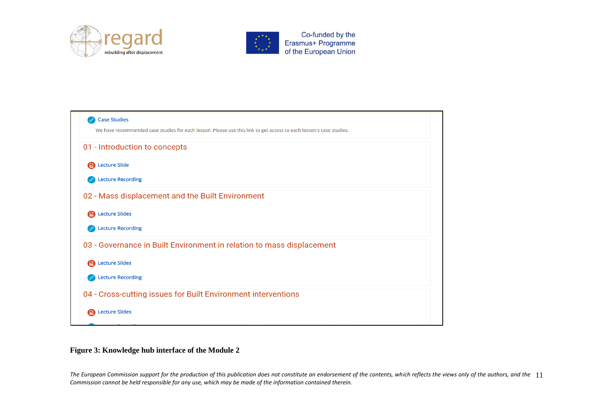



| <b>Case Studies</b><br>We have recommended case studies for each lesson. Please use this link to get access to each lesson's case studies. |  |
|--------------------------------------------------------------------------------------------------------------------------------------------|--|
| 01 - Introduction to concepts                                                                                                              |  |
| <b>Lecture Slide</b><br>œ.                                                                                                                 |  |
| <b>Lecture Recording</b>                                                                                                                   |  |
| 02 - Mass displacement and the Built Environment                                                                                           |  |
| <b>Lecture Slides</b><br>G                                                                                                                 |  |
| <b>Lecture Recording</b>                                                                                                                   |  |
| 03 - Governance in Built Environment in relation to mass displacement                                                                      |  |
| <b>Lecture Slides</b><br>(e)                                                                                                               |  |
| <b>Lecture Recording</b>                                                                                                                   |  |
| 04 - Cross-cutting issues for Built Environment interventions                                                                              |  |
| <b>Lecture Slides</b><br>(e)                                                                                                               |  |
|                                                                                                                                            |  |

#### **Figure 3: Knowledge hub interface of the Module 2**

*The European Commission support for the production of this publication does not constitute an endorsement of the contents, which reflects the views only of the authors, and the*  11 *Commission cannot be held responsible for any use, which may be made of the information contained therein.*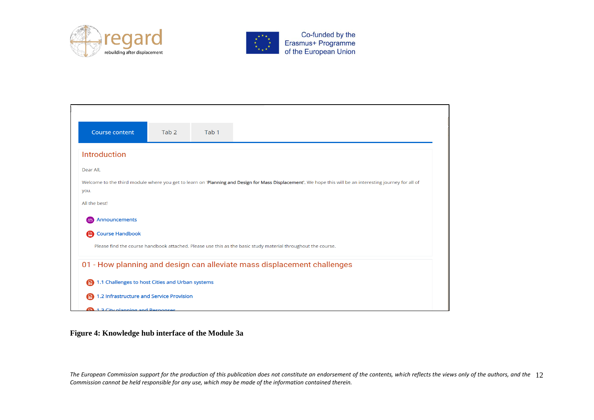



| Course content                                        | Tab <sub>2</sub> | Tab <sub>1</sub> |                                                                                                                                                           |  |  |  |
|-------------------------------------------------------|------------------|------------------|-----------------------------------------------------------------------------------------------------------------------------------------------------------|--|--|--|
| <b>Introduction</b>                                   |                  |                  |                                                                                                                                                           |  |  |  |
| Dear All,                                             |                  |                  |                                                                                                                                                           |  |  |  |
| you.                                                  |                  |                  | Welcome to the third module where you get to learn on 'Planning and Design for Mass Displacement'. We hope this will be an interesting journey for all of |  |  |  |
| All the best!                                         |                  |                  |                                                                                                                                                           |  |  |  |
| Announcements<br>' డిని                               |                  |                  |                                                                                                                                                           |  |  |  |
| <b>Course Handbook</b><br>$\bigcirc$                  |                  |                  |                                                                                                                                                           |  |  |  |
|                                                       |                  |                  | Please find the course handbook attached. Please use this as the basic study material throughout the course.                                              |  |  |  |
|                                                       |                  |                  | 01 - How planning and design can alleviate mass displacement challenges                                                                                   |  |  |  |
|                                                       |                  |                  |                                                                                                                                                           |  |  |  |
| 1.1 Challenges to host Cities and Urban systems<br>(目 |                  |                  |                                                                                                                                                           |  |  |  |
| 1.2 Infrastructure and Service Provision<br>G         |                  |                  |                                                                                                                                                           |  |  |  |
| <b>B.</b> 1.3 City planning and Pernances             |                  |                  |                                                                                                                                                           |  |  |  |

**Figure 4: Knowledge hub interface of the Module 3a**

The European Commission support for the production of this publication does not constitute an endorsement of the contents, which reflects the views only of the authors, and the  $\,$  1 $2$ *Commission cannot be held responsible for any use, which may be made of the information contained therein.*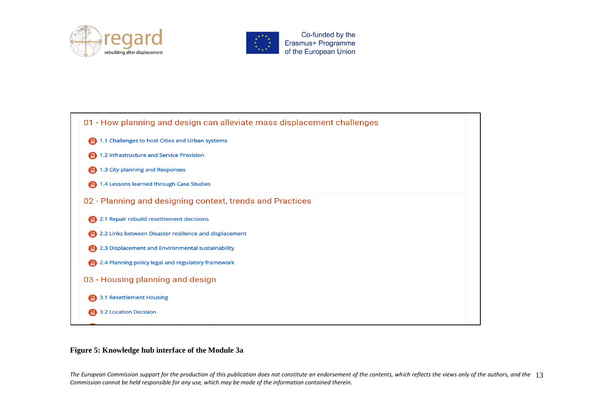





#### **Figure 5: Knowledge hub interface of the Module 3a**

*The European Commission support for the production of this publication does not constitute an endorsement of the contents, which reflects the views only of the authors, and the*  13 *Commission cannot be held responsible for any use, which may be made of the information contained therein.*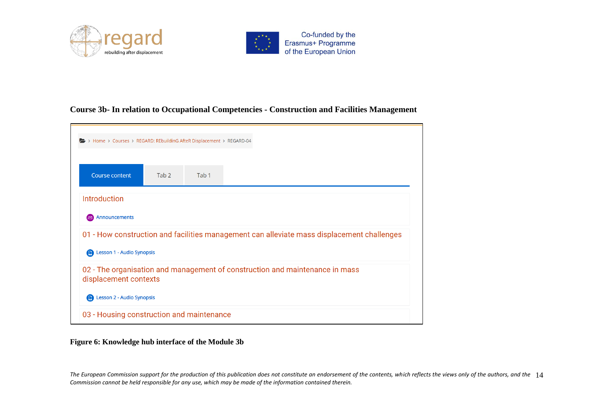



#### **Course 3b- In relation to Occupational Competencies - Construction and Facilities Management**

| > Home > Courses > REGARD: REbuildinG AfteR Displacement > REGARD-04                                  |                  |                  |  |  |  |
|-------------------------------------------------------------------------------------------------------|------------------|------------------|--|--|--|
| Course content                                                                                        | Tab <sub>2</sub> | Tab <sub>1</sub> |  |  |  |
| <b>Introduction</b>                                                                                   |                  |                  |  |  |  |
| Announcements<br>(දිපී                                                                                |                  |                  |  |  |  |
| 01 - How construction and facilities management can alleviate mass displacement challenges            |                  |                  |  |  |  |
| Lesson 1 - Audio Synopsis<br>$\blacksquare$                                                           |                  |                  |  |  |  |
| 02 - The organisation and management of construction and maintenance in mass<br>displacement contexts |                  |                  |  |  |  |
| <b>Lesson 2 - Audio Synopsis</b><br>$\left( \begin{array}{c} \bullet \\ \bullet \end{array} \right)$  |                  |                  |  |  |  |
| 03 - Housing construction and maintenance                                                             |                  |                  |  |  |  |

#### **Figure 6: Knowledge hub interface of the Module 3b**

*The European Commission support for the production of this publication does not constitute an endorsement of the contents, which reflects the views only of the authors, and the*  14 *Commission cannot be held responsible for any use, which may be made of the information contained therein.*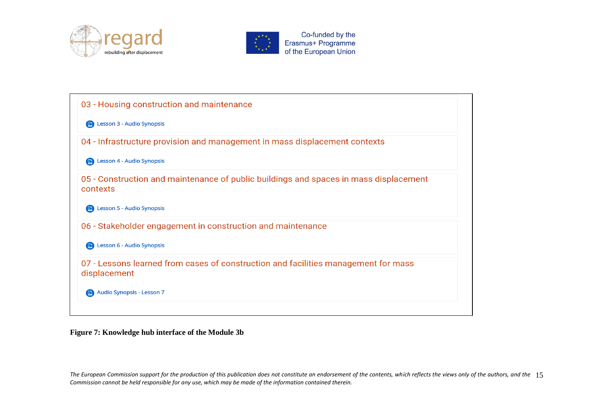



|                                                                  | 03 - Housing construction and maintenance                                             |
|------------------------------------------------------------------|---------------------------------------------------------------------------------------|
| $\left( \begin{array}{c} \bullet \\ \bullet \end{array} \right)$ | Lesson 3 - Audio Synopsis                                                             |
|                                                                  | 04 - Infrastructure provision and management in mass displacement contexts            |
| 曲                                                                | <b>Lesson 4 - Audio Synopsis</b>                                                      |
| contexts                                                         | 05 - Construction and maintenance of public buildings and spaces in mass displacement |
| $\left( \frac{1}{2} \right)$                                     | <b>Lesson 5 - Audio Synopsis</b>                                                      |
|                                                                  | 06 - Stakeholder engagement in construction and maintenance                           |
| $\left( \begin{array}{c} \boxed{1} \\ \end{array} \right)$       | Lesson 6 - Audio Synopsis                                                             |
| displacement                                                     | 07 - Lessons learned from cases of construction and facilities management for mass    |
| $\left( \blacksquare \right)$                                    | Audio Synopsis - Lesson 7                                                             |

**Figure 7: Knowledge hub interface of the Module 3b**

*The European Commission support for the production of this publication does not constitute an endorsement of the contents, which reflects the views only of the authors, and the*  15 *Commission cannot be held responsible for any use, which may be made of the information contained therein.*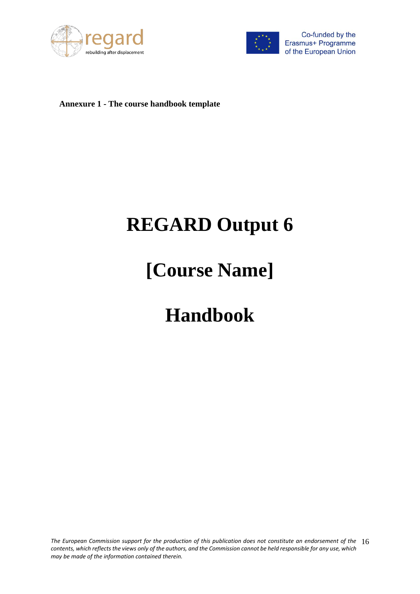



Co-funded by the Erasmus+ Programme of the European Union

**Annexure 1 - The course handbook template**

# **REGARD Output 6**

**[Course Name]**

# **Handbook**

The European Commission support for the production of this publication does not constitute an endorsement of the  $\,16$ *contents, which reflects the views only of the authors, and the Commission cannot be held responsible for any use, which may be made of the information contained therein.*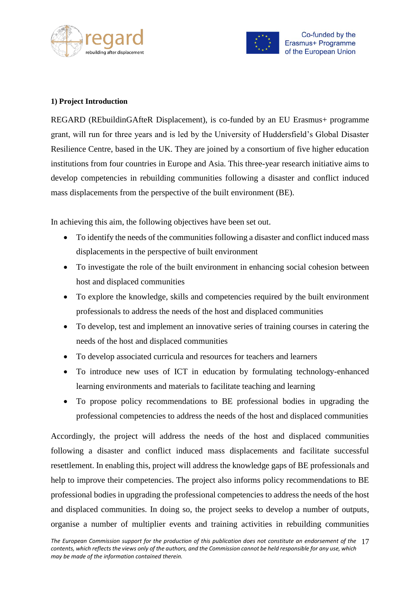



## **1) Project Introduction**

REGARD (REbuildinGAfteR Displacement), is co-funded by an EU Erasmus+ programme grant, will run for three years and is led by the University of Huddersfield's Global Disaster Resilience Centre, based in the UK. They are joined by a consortium of five higher education institutions from four countries in Europe and Asia. This three-year research initiative aims to develop competencies in rebuilding communities following a disaster and conflict induced mass displacements from the perspective of the built environment (BE).

In achieving this aim, the following objectives have been set out.

- To identify the needs of the communities following a disaster and conflict induced mass displacements in the perspective of built environment
- To investigate the role of the built environment in enhancing social cohesion between host and displaced communities
- To explore the knowledge, skills and competencies required by the built environment professionals to address the needs of the host and displaced communities
- To develop, test and implement an innovative series of training courses in catering the needs of the host and displaced communities
- To develop associated curricula and resources for teachers and learners
- To introduce new uses of ICT in education by formulating technology-enhanced learning environments and materials to facilitate teaching and learning
- To propose policy recommendations to BE professional bodies in upgrading the professional competencies to address the needs of the host and displaced communities

Accordingly, the project will address the needs of the host and displaced communities following a disaster and conflict induced mass displacements and facilitate successful resettlement. In enabling this, project will address the knowledge gaps of BE professionals and help to improve their competencies. The project also informs policy recommendations to BE professional bodies in upgrading the professional competencies to address the needs of the host and displaced communities. In doing so, the project seeks to develop a number of outputs, organise a number of multiplier events and training activities in rebuilding communities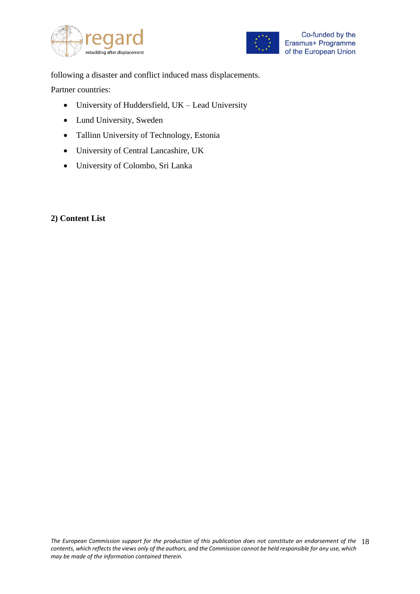



following a disaster and conflict induced mass displacements.

Partner countries:

- University of Huddersfield, UK Lead University
- Lund University, Sweden
- Tallinn University of Technology, Estonia
- University of Central Lancashire, UK
- University of Colombo, Sri Lanka

# **2) Content List**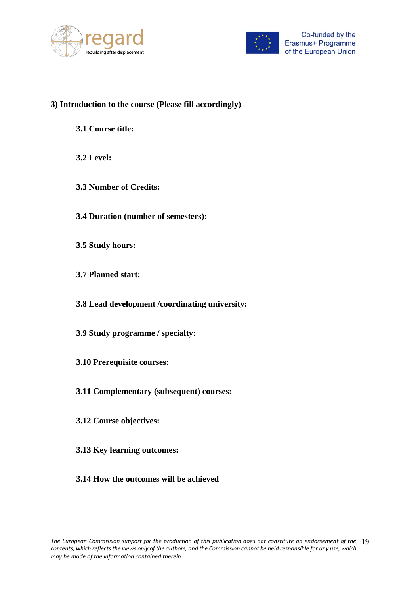



## **3) Introduction to the course (Please fill accordingly)**

- **3.1 Course title:**
- **3.2 Level:**
- **3.3 Number of Credits:**
- **3.4 Duration (number of semesters):**
- **3.5 Study hours:**
- **3.7 Planned start:**
- **3.8 Lead development /coordinating university:**
- **3.9 Study programme / specialty:**
- **3.10 Prerequisite courses:**
- **3.11 Complementary (subsequent) courses:**
- **3.12 Course objectives:**
- **3.13 Key learning outcomes:**
- **3.14 How the outcomes will be achieved**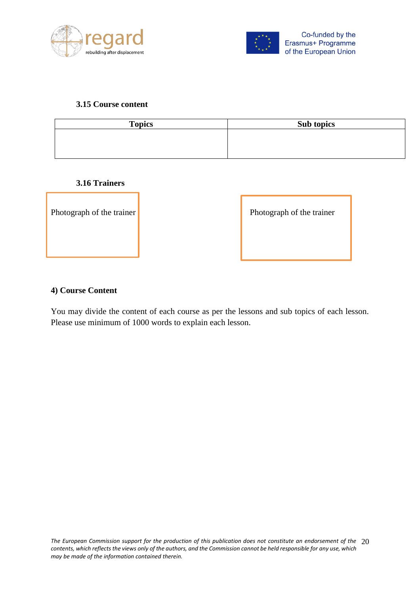



# **3.15 Course content**

| <b>Topics</b> | Sub topics |
|---------------|------------|
|               |            |
|               |            |
|               |            |

# **3.16 Trainers**

Photograph of the trainerPhotograph of the trainer

# **4) Course Content**

You may divide the content of each course as per the lessons and sub topics of each lesson. Please use minimum of 1000 words to explain each lesson.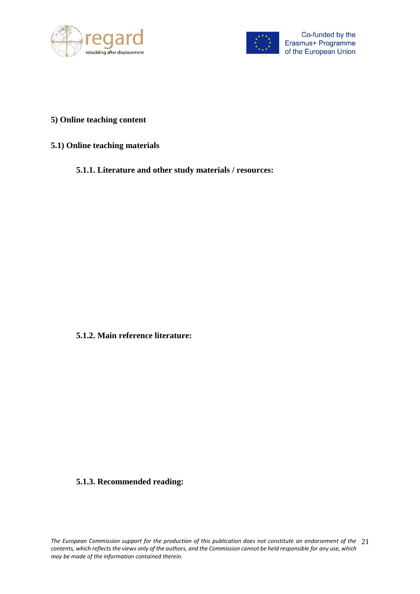



# **5) Online teaching content**

- **5.1) Online teaching materials** 
	- **5.1.1. Literature and other study materials / resources:**

**5.1.2. Main reference literature:**

#### **5.1.3. Recommended reading:**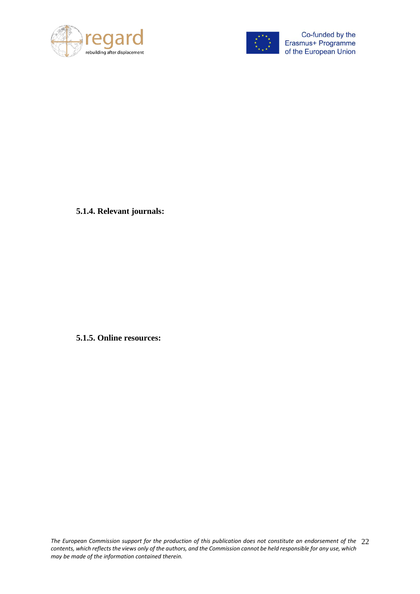



Co-funded by the<br>Erasmus+ Programme<br>of the European Union

**5.1.4. Relevant journals:**

**5.1.5. Online resources:** 

The European Commission support for the production of this publication does not constitute an endorsement of the  $\,$   $22$ *contents, which reflects the views only of the authors, and the Commission cannot be held responsible for any use, which may be made of the information contained therein.*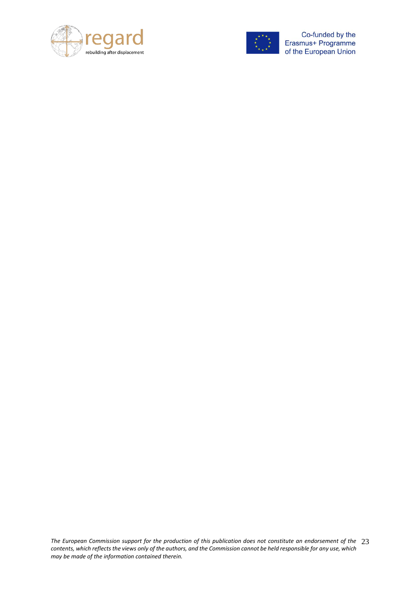



Co-funded by the<br>Erasmus+ Programme<br>of the European Union

*The European Commission support for the production of this publication does not constitute an endorsement of the*  23*contents, which reflects the views only of the authors, and the Commission cannot be held responsible for any use, which may be made of the information contained therein.*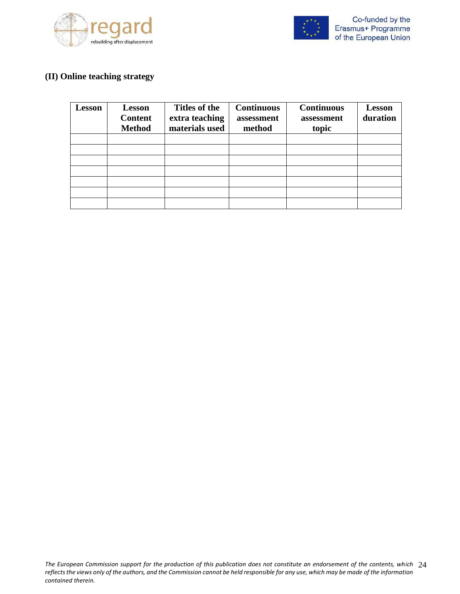



# **(II) Online teaching strategy**

| <b>Lesson</b> | <b>Lesson</b><br><b>Content</b><br><b>Method</b> | Titles of the<br>extra teaching<br>materials used | <b>Continuous</b><br>assessment<br>method | <b>Continuous</b><br>assessment<br>topic | <b>Lesson</b><br>duration |
|---------------|--------------------------------------------------|---------------------------------------------------|-------------------------------------------|------------------------------------------|---------------------------|
|               |                                                  |                                                   |                                           |                                          |                           |
|               |                                                  |                                                   |                                           |                                          |                           |
|               |                                                  |                                                   |                                           |                                          |                           |
|               |                                                  |                                                   |                                           |                                          |                           |
|               |                                                  |                                                   |                                           |                                          |                           |
|               |                                                  |                                                   |                                           |                                          |                           |
|               |                                                  |                                                   |                                           |                                          |                           |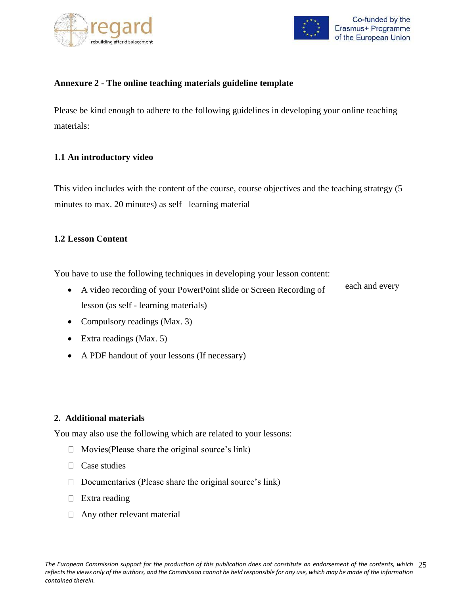



#### **Annexure 2 - The online teaching materials guideline template**

Please be kind enough to adhere to the following guidelines in developing your online teaching materials:

#### **1.1 An introductory video**

This video includes with the content of the course, course objectives and the teaching strategy (5 minutes to max. 20 minutes) as self –learning material

#### **1.2 Lesson Content**

You have to use the following techniques in developing your lesson content:

- A video recording of your PowerPoint slide or Screen Recording of lesson (as self - learning materials) each and every
- Compulsory readings (Max. 3)
- Extra readings (Max. 5)
- A PDF handout of your lessons (If necessary)

#### **2. Additional materials**

You may also use the following which are related to your lessons:

- $\Box$  Movies(Please share the original source's link)
- □ Case studies
- $\Box$  Documentaries (Please share the original source's link)
- $\Box$  Extra reading
- Any other relevant material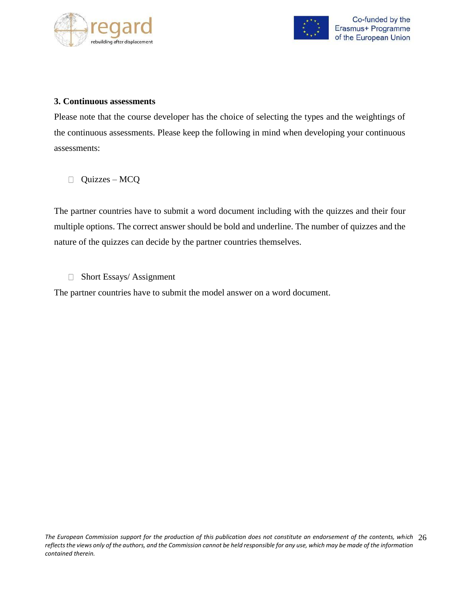



#### **3. Continuous assessments**

Please note that the course developer has the choice of selecting the types and the weightings of the continuous assessments. Please keep the following in mind when developing your continuous assessments:

Quizzes – MCQ

The partner countries have to submit a word document including with the quizzes and their four multiple options. The correct answer should be bold and underline. The number of quizzes and the nature of the quizzes can decide by the partner countries themselves.

□ Short Essays/ Assignment

The partner countries have to submit the model answer on a word document.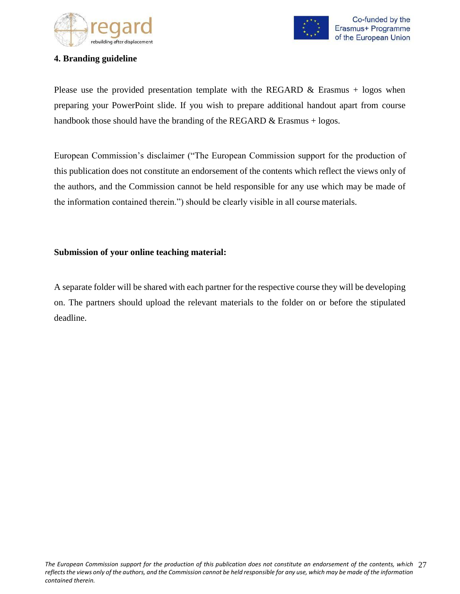



## **4. Branding guideline**

Please use the provided presentation template with the REGARD  $\&$  Erasmus + logos when preparing your PowerPoint slide. If you wish to prepare additional handout apart from course handbook those should have the branding of the REGARD  $&$  Erasmus + logos.

European Commission's disclaimer ("The European Commission support for the production of this publication does not constitute an endorsement of the contents which reflect the views only of the authors, and the Commission cannot be held responsible for any use which may be made of the information contained therein.") should be clearly visible in all course materials.

#### **Submission of your online teaching material:**

A separate folder will be shared with each partner for the respective course they will be developing on. The partners should upload the relevant materials to the folder on or before the stipulated deadline.